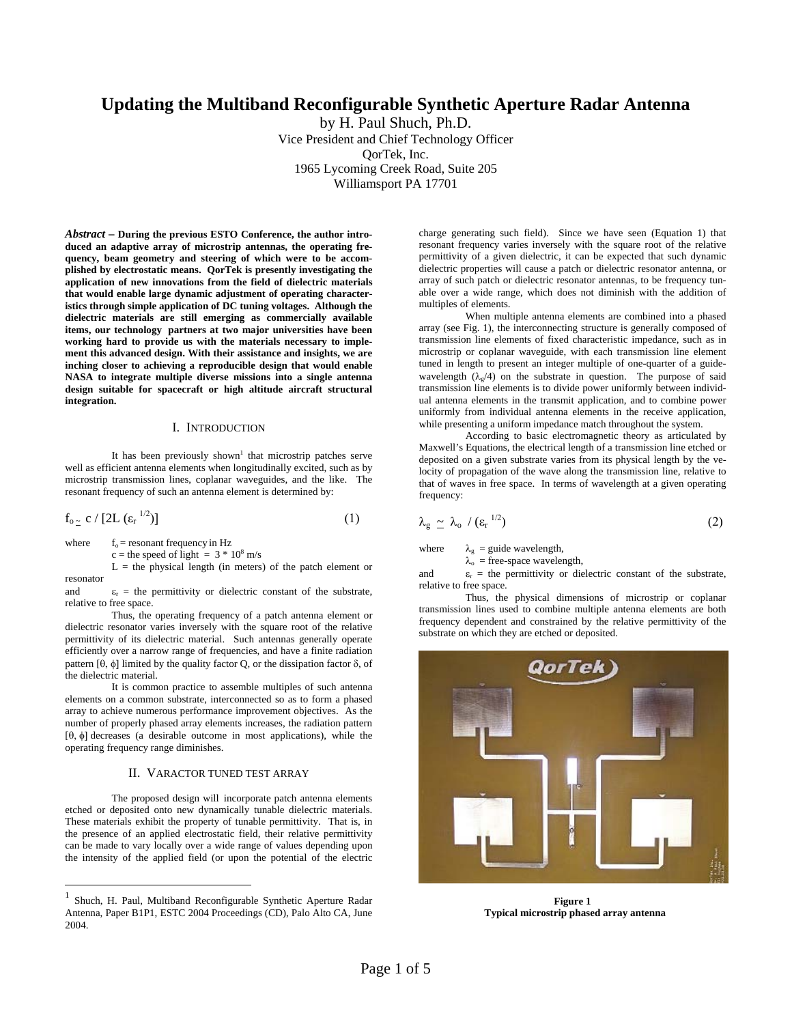# **Updating the Multiband Reconfigurable Synthetic Aperture Radar Antenna**

by H. Paul Shuch, Ph.D. Vice President and Chief Technology Officer QorTek, Inc. 1965 Lycoming Creek Road, Suite 205 Williamsport PA 17701

*Abstract* **– During the previous ESTO Conference, the author introduced an adaptive array of microstrip antennas, the operating frequency, beam geometry and steering of which were to be accomplished by electrostatic means. QorTek is presently investigating the application of new innovations from the field of dielectric materials that would enable large dynamic adjustment of operating characteristics through simple application of DC tuning voltages. Although the dielectric materials are still emerging as commercially available items, our technology partners at two major universities have been working hard to provide us with the materials necessary to implement this advanced design. With their assistance and insights, we are inching closer to achieving a reproducible design that would enable NASA to integrate multiple diverse missions into a single antenna design suitable for spacecraft or high altitude aircraft structural integration.** 

### I. INTRODUCTION

It has been previously shown<sup>1</sup> that microstrip patches serve well as efficient antenna elements when longitudinally excited, such as by microstrip transmission lines, coplanar waveguides, and the like. The resonant frequency of such an antenna element is determined by:

$$
f_{o_{\simeq}} c / [2L (\varepsilon_r^{1/2})]
$$
 (1)

where  $f_0$  = resonant frequency in Hz

 $\overline{a}$ 

c = the speed of light =  $3 * 10^8$  m/s

 $L =$  the physical length (in meters) of the patch element or resonator

and  $\varepsilon_r$  = the permittivity or dielectric constant of the substrate, relative to free space.

Thus, the operating frequency of a patch antenna element or dielectric resonator varies inversely with the square root of the relative permittivity of its dielectric material. Such antennas generally operate efficiently over a narrow range of frequencies, and have a finite radiation pattern [θ, φ] limited by the quality factor Q, or the dissipation factor δ, of the dielectric material.

It is common practice to assemble multiples of such antenna elements on a common substrate, interconnected so as to form a phased array to achieve numerous performance improvement objectives. As the number of properly phased array elements increases, the radiation pattern [θ, φ] decreases (a desirable outcome in most applications), while the operating frequency range diminishes.

## II. VARACTOR TUNED TEST ARRAY

The proposed design will incorporate patch antenna elements etched or deposited onto new dynamically tunable dielectric materials. These materials exhibit the property of tunable permittivity. That is, in the presence of an applied electrostatic field, their relative permittivity can be made to vary locally over a wide range of values depending upon the intensity of the applied field (or upon the potential of the electric charge generating such field). Since we have seen (Equation 1) that resonant frequency varies inversely with the square root of the relative permittivity of a given dielectric, it can be expected that such dynamic dielectric properties will cause a patch or dielectric resonator antenna, or array of such patch or dielectric resonator antennas, to be frequency tunable over a wide range, which does not diminish with the addition of multiples of elements.

When multiple antenna elements are combined into a phased array (see Fig. 1), the interconnecting structure is generally composed of transmission line elements of fixed characteristic impedance, such as in microstrip or coplanar waveguide, with each transmission line element tuned in length to present an integer multiple of one-quarter of a guidewavelength  $(\lambda_g/4)$  on the substrate in question. The purpose of said transmission line elements is to divide power uniformly between individual antenna elements in the transmit application, and to combine power uniformly from individual antenna elements in the receive application, while presenting a uniform impedance match throughout the system.

According to basic electromagnetic theory as articulated by Maxwell's Equations, the electrical length of a transmission line etched or deposited on a given substrate varies from its physical length by the velocity of propagation of the wave along the transmission line, relative to that of waves in free space. In terms of wavelength at a given operating frequency:

$$
\lambda_{\rm g} \simeq \lambda_{\rm o} / (\varepsilon_{\rm r}^{\rm 1/2}) \tag{2}
$$

where  $\lambda_g$  = guide wavelength,

 $\lambda_{o}$  = free-space wavelength,

and  $\varepsilon_r$  = the permittivity or dielectric constant of the substrate, relative to free space.

Thus, the physical dimensions of microstrip or coplanar transmission lines used to combine multiple antenna elements are both frequency dependent and constrained by the relative permittivity of the substrate on which they are etched or deposited.



**Figure 1 Typical microstrip phased array antenna** 

<sup>1</sup> Shuch, H. Paul, Multiband Reconfigurable Synthetic Aperture Radar Antenna, Paper B1P1, ESTC 2004 Proceedings (CD), Palo Alto CA, June 2004.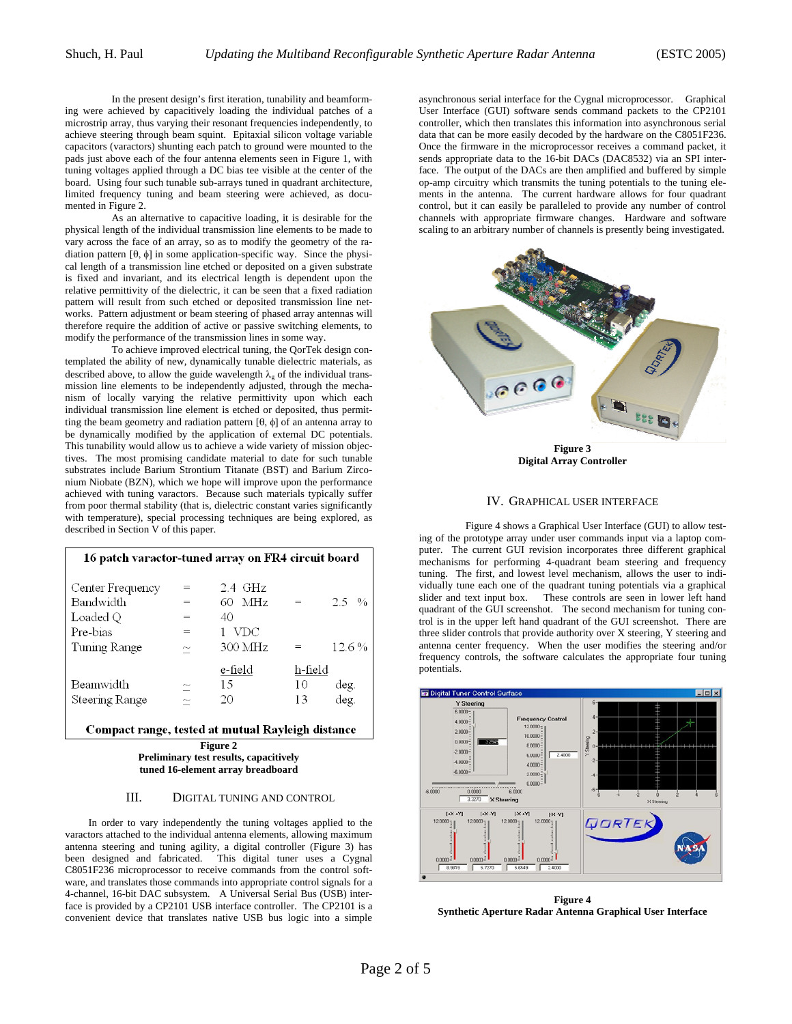In the present design's first iteration, tunability and beamforming were achieved by capacitively loading the individual patches of a microstrip array, thus varying their resonant frequencies independently, to achieve steering through beam squint. Epitaxial silicon voltage variable capacitors (varactors) shunting each patch to ground were mounted to the pads just above each of the four antenna elements seen in Figure 1, with tuning voltages applied through a DC bias tee visible at the center of the board. Using four such tunable sub-arrays tuned in quadrant architecture, limited frequency tuning and beam steering were achieved, as documented in Figure 2.

 As an alternative to capacitive loading, it is desirable for the physical length of the individual transmission line elements to be made to vary across the face of an array, so as to modify the geometry of the radiation pattern [θ, φ] in some application-specific way. Since the physical length of a transmission line etched or deposited on a given substrate is fixed and invariant, and its electrical length is dependent upon the relative permittivity of the dielectric, it can be seen that a fixed radiation pattern will result from such etched or deposited transmission line networks. Pattern adjustment or beam steering of phased array antennas will therefore require the addition of active or passive switching elements, to modify the performance of the transmission lines in some way.

To achieve improved electrical tuning, the QorTek design contemplated the ability of new, dynamically tunable dielectric materials, as described above, to allow the guide wavelength  $\lambda_{g}$  of the individual transmission line elements to be independently adjusted, through the mechanism of locally varying the relative permittivity upon which each individual transmission line element is etched or deposited, thus permitting the beam geometry and radiation pattern [θ, φ] of an antenna array to be dynamically modified by the application of external DC potentials. This tunability would allow us to achieve a wide variety of mission objectives. The most promising candidate material to date for such tunable substrates include Barium Strontium Titanate (BST) and Barium Zirconium Niobate (BZN), which we hope will improve upon the performance achieved with tuning varactors. Because such materials typically suffer from poor thermal stability (that is, dielectric constant varies significantly with temperature), special processing techniques are being explored, as described in Section V of this paper.

| 16 patch varactor-tuned array on FR4 circuit board |                           |                              |         |                   |
|----------------------------------------------------|---------------------------|------------------------------|---------|-------------------|
| Center Frequency<br>Bandwidth                      | $=$                       | $2.4\text{ GHz}$<br>$60$ MHz | $=$     | $2.5 \frac{0}{0}$ |
| Loaded Q<br>Pre-bias                               | $=$<br>$=$                | 40<br>VDC                    |         |                   |
| Tuning Range                                       | $\widetilde{\phantom{m}}$ | 300 MHz                      |         | $12.6\%$          |
|                                                    |                           | e-field                      | h-field |                   |
| Beamwidth                                          | $\widetilde{\phantom{m}}$ | 15                           | 10      | deg.              |
| Steering Range                                     |                           | 20                           | 13      | deg.              |

Compact range, tested at mutual Rayleigh distance

**Figure 2 Preliminary test results, capacitively tuned 16-element array breadboard** 

# III. DIGITAL TUNING AND CONTROL

In order to vary independently the tuning voltages applied to the varactors attached to the individual antenna elements, allowing maximum antenna steering and tuning agility, a digital controller (Figure 3) has been designed and fabricated. This digital tuner uses a Cygnal C8051F236 microprocessor to receive commands from the control software, and translates those commands into appropriate control signals for a 4-channel, 16-bit DAC subsystem. A Universal Serial Bus (USB) interface is provided by a CP2101 USB interface controller. The CP2101 is a convenient device that translates native USB bus logic into a simple

asynchronous serial interface for the Cygnal microprocessor. Graphical User Interface (GUI) software sends command packets to the CP2101 controller, which then translates this information into asynchronous serial data that can be more easily decoded by the hardware on the C8051F236. Once the firmware in the microprocessor receives a command packet, it sends appropriate data to the 16-bit DACs (DAC8532) via an SPI interface. The output of the DACs are then amplified and buffered by simple op-amp circuitry which transmits the tuning potentials to the tuning elements in the antenna. The current hardware allows for four quadrant control, but it can easily be paralleled to provide any number of control channels with appropriate firmware changes. Hardware and software scaling to an arbitrary number of channels is presently being investigated.



**Digital Array Controller** 

#### IV. GRAPHICAL USER INTERFACE

Figure 4 shows a Graphical User Interface (GUI) to allow testing of the prototype array under user commands input via a laptop computer. The current GUI revision incorporates three different graphical mechanisms for performing 4-quadrant beam steering and frequency tuning. The first, and lowest level mechanism, allows the user to individually tune each one of the quadrant tuning potentials via a graphical slider and text input box. These controls are seen in lower left hand quadrant of the GUI screenshot. The second mechanism for tuning control is in the upper left hand quadrant of the GUI screenshot. There are three slider controls that provide authority over X steering, Y steering and antenna center frequency. When the user modifies the steering and/or frequency controls, the software calculates the appropriate four tuning potentials.



**Figure 4 Synthetic Aperture Radar Antenna Graphical User Interface**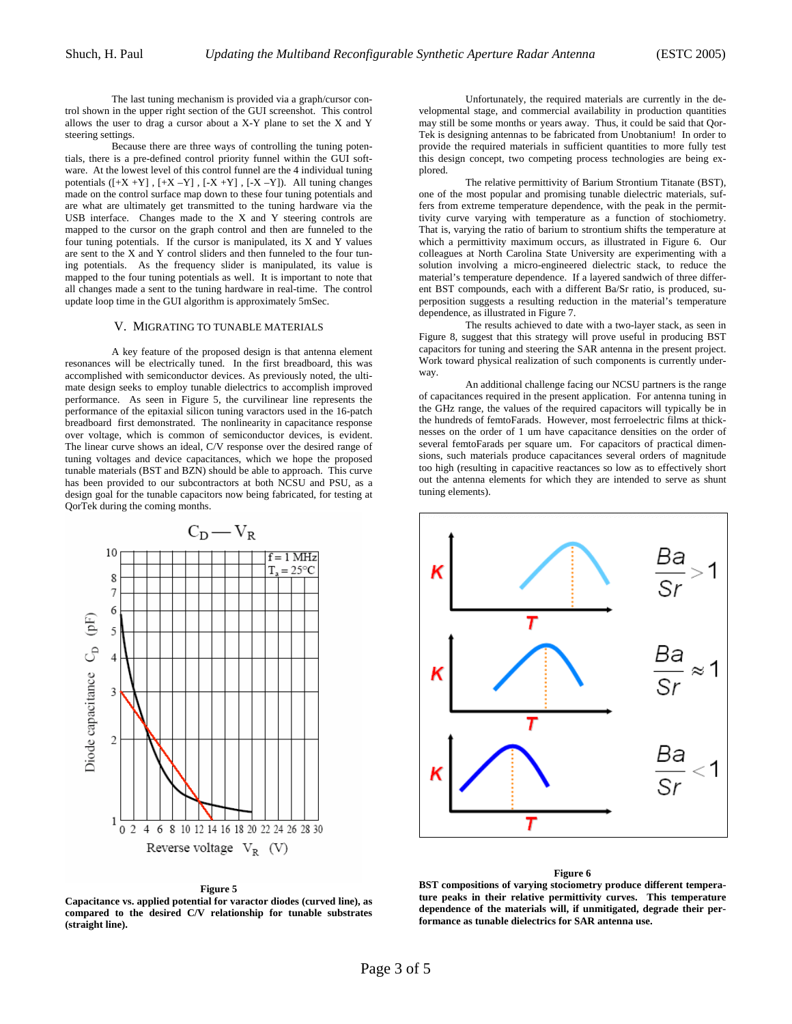The last tuning mechanism is provided via a graph/cursor control shown in the upper right section of the GUI screenshot. This control allows the user to drag a cursor about a X-Y plane to set the X and Y steering settings.

 Because there are three ways of controlling the tuning potentials, there is a pre-defined control priority funnel within the GUI software. At the lowest level of this control funnel are the 4 individual tuning potentials  $([+X + Y]$ ,  $[+X - Y]$ ,  $[-X + Y]$ ,  $[-X - Y]$ ). All tuning changes made on the control surface map down to these four tuning potentials and are what are ultimately get transmitted to the tuning hardware via the USB interface. Changes made to the X and Y steering controls are mapped to the cursor on the graph control and then are funneled to the four tuning potentials. If the cursor is manipulated, its X and Y values are sent to the X and Y control sliders and then funneled to the four tuning potentials. As the frequency slider is manipulated, its value is mapped to the four tuning potentials as well. It is important to note that all changes made a sent to the tuning hardware in real-time. The control update loop time in the GUI algorithm is approximately 5mSec.

# V. MIGRATING TO TUNABLE MATERIALS

A key feature of the proposed design is that antenna element resonances will be electrically tuned. In the first breadboard, this was accomplished with semiconductor devices. As previously noted, the ultimate design seeks to employ tunable dielectrics to accomplish improved performance. As seen in Figure 5, the curvilinear line represents the performance of the epitaxial silicon tuning varactors used in the 16-patch breadboard first demonstrated. The nonlinearity in capacitance response over voltage, which is common of semiconductor devices, is evident. The linear curve shows an ideal, C/V response over the desired range of tuning voltages and device capacitances, which we hope the proposed tunable materials (BST and BZN) should be able to approach. This curve has been provided to our subcontractors at both NCSU and PSU, as a design goal for the tunable capacitors now being fabricated, for testing at QorTek during the coming months.



**Figure 5** 

**Capacitance vs. applied potential for varactor diodes (curved line), as compared to the desired C/V relationship for tunable substrates (straight line).** 

Unfortunately, the required materials are currently in the developmental stage, and commercial availability in production quantities may still be some months or years away. Thus, it could be said that Qor-Tek is designing antennas to be fabricated from Unobtanium! In order to provide the required materials in sufficient quantities to more fully test this design concept, two competing process technologies are being explored.

 The relative permittivity of Barium Strontium Titanate (BST), one of the most popular and promising tunable dielectric materials, suffers from extreme temperature dependence, with the peak in the permittivity curve varying with temperature as a function of stochiometry. That is, varying the ratio of barium to strontium shifts the temperature at which a permittivity maximum occurs, as illustrated in Figure 6. Our colleagues at North Carolina State University are experimenting with a solution involving a micro-engineered dielectric stack, to reduce the material's temperature dependence. If a layered sandwich of three different BST compounds, each with a different Ba/Sr ratio, is produced, superposition suggests a resulting reduction in the material's temperature dependence, as illustrated in Figure 7.

 The results achieved to date with a two-layer stack, as seen in Figure 8, suggest that this strategy will prove useful in producing BST capacitors for tuning and steering the SAR antenna in the present project. Work toward physical realization of such components is currently underway.

 An additional challenge facing our NCSU partners is the range of capacitances required in the present application. For antenna tuning in the GHz range, the values of the required capacitors will typically be in the hundreds of femtoFarads. However, most ferroelectric films at thicknesses on the order of 1 um have capacitance densities on the order of several femtoFarads per square um. For capacitors of practical dimensions, such materials produce capacitances several orders of magnitude too high (resulting in capacitive reactances so low as to effectively short out the antenna elements for which they are intended to serve as shunt tuning elements).



#### **Figure 6**

**BST compositions of varying stociometry produce different temperature peaks in their relative permittivity curves. This temperature dependence of the materials will, if unmitigated, degrade their performance as tunable dielectrics for SAR antenna use.**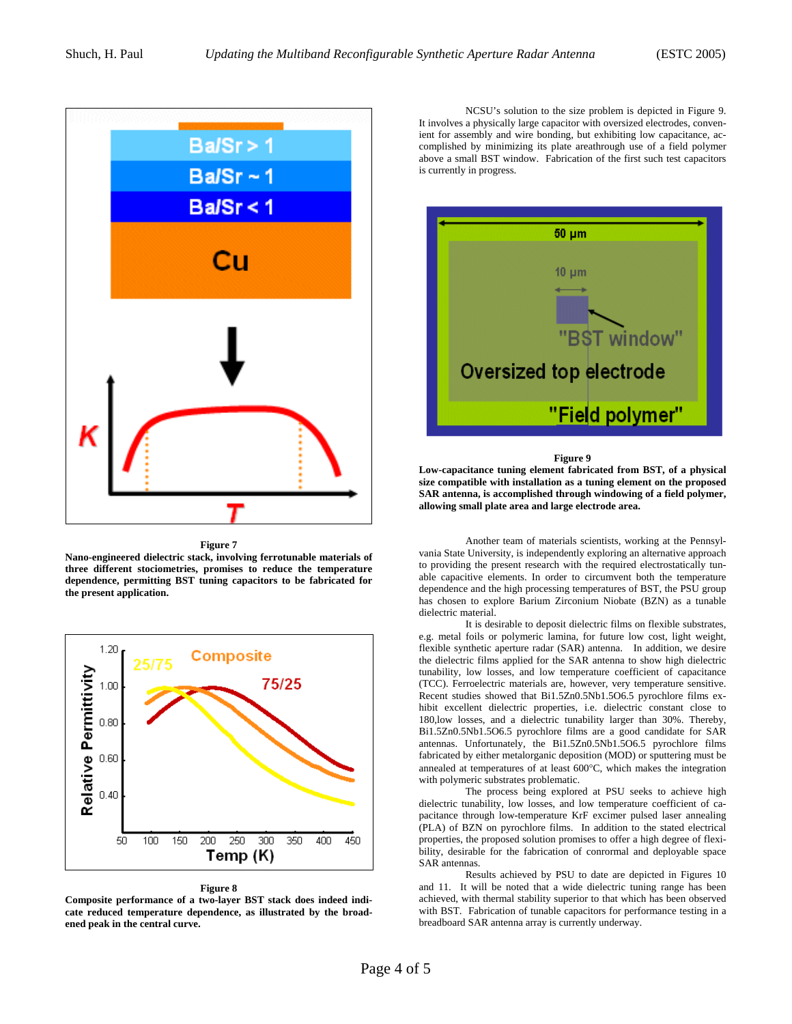

**Figure 7** 

**Nano-engineered dielectric stack, involving ferrotunable materials of three different stociometries, promises to reduce the temperature dependence, permitting BST tuning capacitors to be fabricated for the present application.** 



#### **Figure 8**

**Composite performance of a two-layer BST stack does indeed indicate reduced temperature dependence, as illustrated by the broadened peak in the central curve.** 

 NCSU's solution to the size problem is depicted in Figure 9. It involves a physically large capacitor with oversized electrodes, convenient for assembly and wire bonding, but exhibiting low capacitance, accomplished by minimizing its plate areathrough use of a field polymer above a small BST window. Fabrication of the first such test capacitors is currently in progress.



#### **Figure 9**

**Low-capacitance tuning element fabricated from BST, of a physical size compatible with installation as a tuning element on the proposed SAR antenna, is accomplished through windowing of a field polymer, allowing small plate area and large electrode area.** 

 Another team of materials scientists, working at the Pennsylvania State University, is independently exploring an alternative approach to providing the present research with the required electrostatically tunable capacitive elements. In order to circumvent both the temperature dependence and the high processing temperatures of BST, the PSU group has chosen to explore Barium Zirconium Niobate (BZN) as a tunable dielectric material.

 It is desirable to deposit dielectric films on flexible substrates, e.g. metal foils or polymeric lamina, for future low cost, light weight, flexible synthetic aperture radar (SAR) antenna. In addition, we desire the dielectric films applied for the SAR antenna to show high dielectric tunability, low losses, and low temperature coefficient of capacitance (TCC). Ferroelectric materials are, however, very temperature sensitive. Recent studies showed that Bi1.5Zn0.5Nb1.5O6.5 pyrochlore films exhibit excellent dielectric properties, i.e. dielectric constant close to 180,low losses, and a dielectric tunability larger than 30%. Thereby, Bi1.5Zn0.5Nb1.5O6.5 pyrochlore films are a good candidate for SAR antennas. Unfortunately, the Bi1.5Zn0.5Nb1.5O6.5 pyrochlore films fabricated by either metalorganic deposition (MOD) or sputtering must be annealed at temperatures of at least 600°C, which makes the integration with polymeric substrates problematic.

 The process being explored at PSU seeks to achieve high dielectric tunability, low losses, and low temperature coefficient of capacitance through low-temperature KrF excimer pulsed laser annealing (PLA) of BZN on pyrochlore films. In addition to the stated electrical properties, the proposed solution promises to offer a high degree of flexibility, desirable for the fabrication of conrormal and deployable space SAR antennas.

 Results achieved by PSU to date are depicted in Figures 10 and 11. It will be noted that a wide dielectric tuning range has been achieved, with thermal stability superior to that which has been observed with BST. Fabrication of tunable capacitors for performance testing in a breadboard SAR antenna array is currently underway.